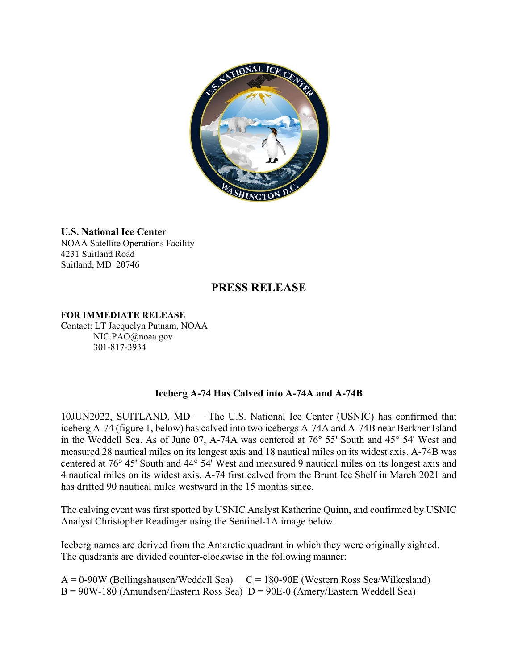

## **U.S. National Ice Center**

NOAA Satellite Operations Facility 4231 Suitland Road Suitland, MD 20746

# **PRESS RELEASE**

#### **FOR IMMEDIATE RELEASE**

Contact: LT Jacquelyn Putnam, NOAA NIC.PAO@noaa.gov 301-817-3934

### **Iceberg A-74 Has Calved into A-74A and A-74B**

10JUN2022, SUITLAND, MD — The U.S. National Ice Center (USNIC) has confirmed that iceberg A-74 (figure 1, below) has calved into two icebergs A-74A and A-74B near Berkner Island in the Weddell Sea. As of June 07, A-74A was centered at 76° 55' South and 45° 54' West and measured 28 nautical miles on its longest axis and 18 nautical miles on its widest axis. A-74B was centered at 76° 45' South and 44° 54' West and measured 9 nautical miles on its longest axis and 4 nautical miles on its widest axis. A-74 first calved from the Brunt Ice Shelf in March 2021 and has drifted 90 nautical miles westward in the 15 months since.

The calving event was first spotted by USNIC Analyst Katherine Quinn, and confirmed by USNIC Analyst Christopher Readinger using the Sentinel-1A image below.

Iceberg names are derived from the Antarctic quadrant in which they were originally sighted. The quadrants are divided counter-clockwise in the following manner:

 $A = 0.90W$  (Bellingshausen/Weddell Sea)  $C = 180-90E$  (Western Ross Sea/Wilkesland)  $B = 90W-180$  (Amundsen/Eastern Ross Sea)  $D = 90E-0$  (Amery/Eastern Weddell Sea)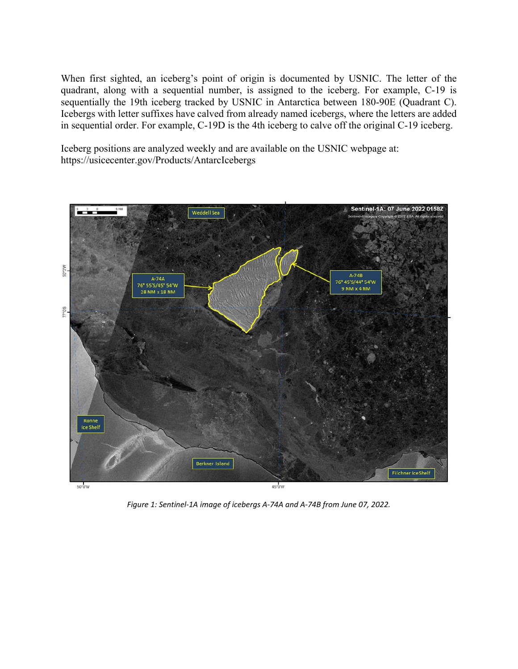When first sighted, an iceberg's point of origin is documented by USNIC. The letter of the quadrant, along with a sequential number, is assigned to the iceberg. For example, C-19 is sequentially the 19th iceberg tracked by USNIC in Antarctica between 180-90E (Quadrant C). Icebergs with letter suffixes have calved from already named icebergs, where the letters are added in sequential order. For example, C-19D is the 4th iceberg to calve off the original C-19 iceberg.

Iceberg positions are analyzed weekly and are available on the USNIC webpage at: https://usicecenter.gov/Products/AntarcIcebergs



*Figure 1: Sentinel-1A image of icebergs A-74A and A-74B from June 07, 2022.*